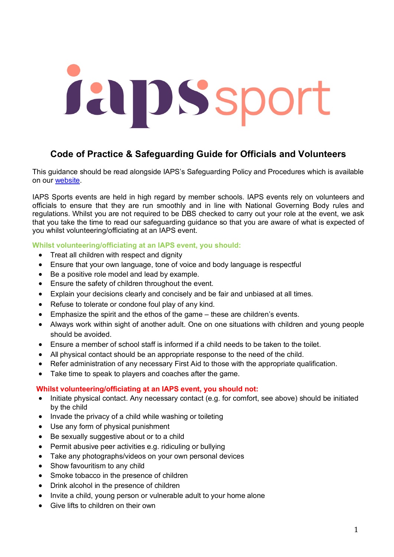# Japssport

# **Code of Practice & Safeguarding Guide for Officials and Volunteers**

This guidance should be read alongside IAPS's Safeguarding Policy and Procedures which is available on our [website.](https://iaps.uk/sport.html)

IAPS Sports events are held in high regard by member schools. IAPS events rely on volunteers and officials to ensure that they are run smoothly and in line with National Governing Body rules and regulations. Whilst you are not required to be DBS checked to carry out your role at the event, we ask that you take the time to read our safeguarding guidance so that you are aware of what is expected of you whilst volunteering/officiating at an IAPS event.

# **Whilst volunteering/officiating at an IAPS event, you should:**

- Treat all children with respect and dignity
- Ensure that your own language, tone of voice and body language is respectful
- Be a positive role model and lead by example.
- Ensure the safety of children throughout the event.
- Explain your decisions clearly and concisely and be fair and unbiased at all times.
- Refuse to tolerate or condone foul play of any kind.
- Emphasize the spirit and the ethos of the game these are children's events.
- Always work within sight of another adult. One on one situations with children and young people should be avoided.
- Ensure a member of school staff is informed if a child needs to be taken to the toilet.
- All physical contact should be an appropriate response to the need of the child.
- Refer administration of any necessary First Aid to those with the appropriate qualification.
- Take time to speak to players and coaches after the game.

### **Whilst volunteering/officiating at an IAPS event, you should not:**

- Initiate physical contact. Any necessary contact (e.g. for comfort, see above) should be initiated by the child
- Invade the privacy of a child while washing or toileting
- Use any form of physical punishment
- Be sexually suggestive about or to a child
- Permit abusive peer activities e.g. ridiculing or bullying
- Take any photographs/videos on your own personal devices
- Show favouritism to any child
- Smoke tobacco in the presence of children
- Drink alcohol in the presence of children
- Invite a child, young person or vulnerable adult to your home alone
- Give lifts to children on their own